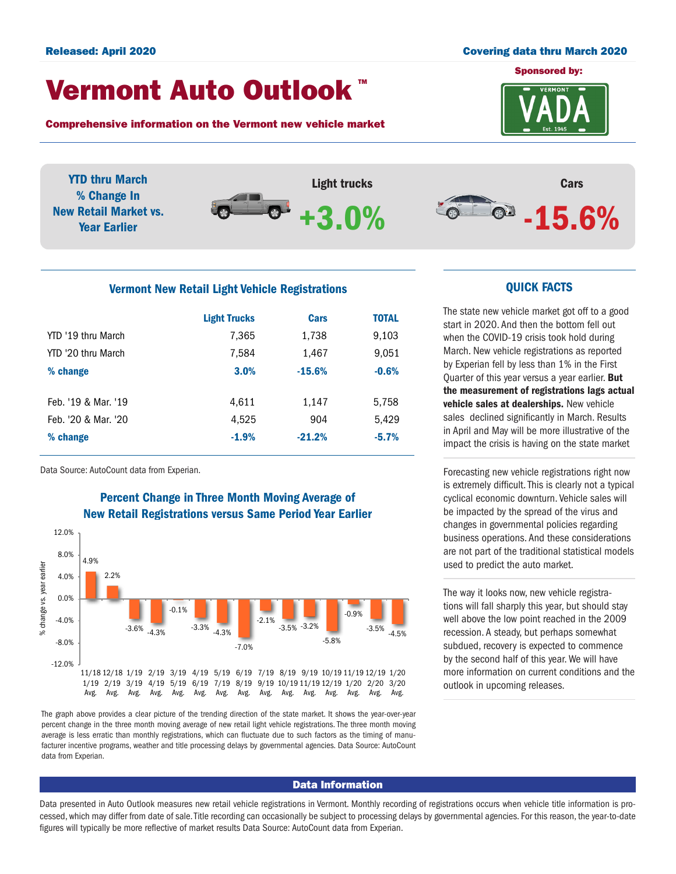#### Released: April 2020 Covering data thru March 2020

## Vermont Auto Outlook TM

Comprehensive information on the Vermont new vehicle market

Sponsored by: **VERMONT** 



YTD thru March % Change In New Retail Market vs. Year Earlier



# Cars  $\circ$  -15.6%

#### Vermont New Retail Light Vehicle Registrations

|                     | <b>Light Trucks</b> | <b>Cars</b> | <b>TOTAL</b> |  |
|---------------------|---------------------|-------------|--------------|--|
| YTD '19 thru March  | 7,365               | 1,738       | 9,103        |  |
| YTD '20 thru March  | 7,584               | 1,467       | 9,051        |  |
| % change            | 3.0%                | $-15.6%$    | $-0.6%$      |  |
|                     |                     |             |              |  |
| Feb. '19 & Mar. '19 | 4,611               | 1,147       | 5,758        |  |
| Feb. '20 & Mar. '20 | 4.525               | 904         | 5,429        |  |
| % change            | $-1.9%$             | $-21.2%$    | $-5.7%$      |  |
|                     |                     |             |              |  |

Data Source: AutoCount data from Experian.

# Percent Change in Three Month Moving Average of New Retail Registrations versus Same Period Year Earlier



The graph above provides a clear picture of the trending direction of the state market. It shows the year-over-year percent change in the three month moving average of new retail light vehicle registrations. The three month moving average is less erratic than monthly registrations, which can fluctuate due to such factors as the timing of manufacturer incentive programs, weather and title processing delays by governmental agencies. Data Source: AutoCount data from Experian.

#### Data Information

Data presented in Auto Outlook measures new retail vehicle registrations in Vermont. Monthly recording of registrations occurs when vehicle title information is processed, which may differ from date of sale. Title recording can occasionally be subject to processing delays by governmental agencies. For this reason, the year-to-date figures will typically be more reflective of market results Data Source: AutoCount data from Experian.

#### QUICK FACTS

The state new vehicle market got off to a good start in 2020. And then the bottom fell out when the COVID-19 crisis took hold during March. New vehicle registrations as reported by Experian fell by less than 1% in the First Quarter of this year versus a year earlier. But the measurement of registrations lags actual vehicle sales at dealerships. New vehicle sales declined significantly in March. Results in April and May will be more illustrative of the impact the crisis is having on the state market

Forecasting new vehicle registrations right now is extremely difficult. This is clearly not a typical cyclical economic downturn. Vehicle sales will be impacted by the spread of the virus and changes in governmental policies regarding business operations. And these considerations are not part of the traditional statistical models used to predict the auto market.

The way it looks now, new vehicle registrations will fall sharply this year, but should stay well above the low point reached in the 2009 recession. A steady, but perhaps somewhat subdued, recovery is expected to commence by the second half of this year. We will have more information on current conditions and the outlook in upcoming releases.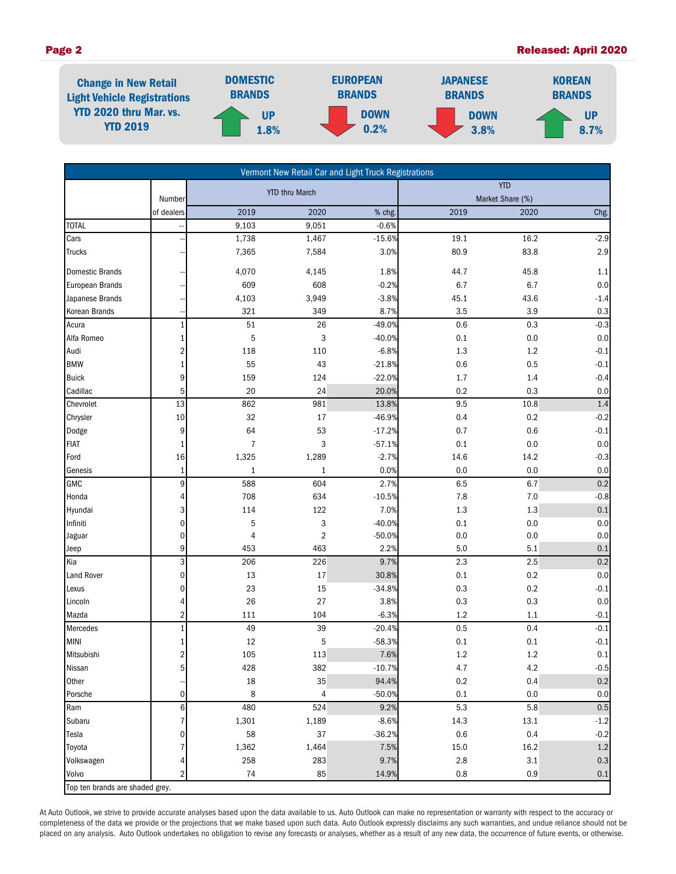#### Page 2 Released: April 2020



| Vermont New Retail Car and Light Truck Registrations |                 |                       |                |          |                  |         |         |  |  |
|------------------------------------------------------|-----------------|-----------------------|----------------|----------|------------------|---------|---------|--|--|
|                                                      |                 | <b>YTD thru March</b> |                |          | <b>YTD</b>       |         |         |  |  |
|                                                      | Number          |                       |                |          | Market Share (%) |         |         |  |  |
|                                                      | of dealers      | 2019                  | 2020           | % chg.   | 2019             | 2020    | Chg.    |  |  |
| <b>TOTAL</b>                                         |                 | 9,103                 | 9,051          | $-0.6%$  |                  |         |         |  |  |
| Cars                                                 |                 | 1,738                 | 1,467          | $-15.6%$ | 19.1             | 16.2    | $-2.9$  |  |  |
| <b>Trucks</b>                                        |                 | 7,365                 | 7,584          | 3.0%     | 80.9             | 83.8    | $2.9\,$ |  |  |
| <b>Domestic Brands</b>                               |                 | 4,070                 | 4,145          | 1.8%     | 44.7             | 45.8    | $1.1\,$ |  |  |
| <b>European Brands</b>                               |                 | 609                   | 608            | $-0.2%$  | 6.7              | 6.7     | $0.0\,$ |  |  |
| Japanese Brands                                      |                 | 4,103                 | 3,949          | $-3.8%$  | 45.1             | 43.6    | $-1.4$  |  |  |
| Korean Brands                                        |                 | 321                   | 349            | 8.7%     | 3.5              | 3.9     | 0.3     |  |  |
| Acura                                                | $\mathbf{1}$    | 51                    | 26             | $-49.0%$ | 0.6              | 0.3     | $-0.3$  |  |  |
| Alfa Romeo                                           | $1\overline{ }$ | 5                     | 3              | $-40.0%$ | 0.1              | $0.0\,$ | $0.0\,$ |  |  |
| Audi                                                 | $\overline{2}$  | 118                   | 110            | $-6.8%$  | 1.3              | $1.2\,$ | $-0.1$  |  |  |
| <b>BMW</b>                                           | $\mathbf{1}$    | 55                    | 43             | $-21.8%$ | 0.6              | 0.5     | $-0.1$  |  |  |
| <b>Buick</b>                                         | 9               | 159                   | 124            | $-22.0%$ | 1.7              | 1.4     | $-0.4$  |  |  |
| Cadillac                                             | $5\overline{)}$ | 20                    | 24             | 20.0%    | 0.2              | 0.3     | 0.0     |  |  |
| Chevrolet                                            | 13              | 862                   | 981            | 13.8%    | 9.5              | 10.8    | 1.4     |  |  |
| Chrysler                                             | 10              | 32                    | $17\,$         | $-46.9%$ | 0.4              | 0.2     | $-0.2$  |  |  |
| Dodge                                                | 9               | 64                    | 53             | $-17.2%$ | 0.7              | 0.6     | $-0.1$  |  |  |
| <b>FIAT</b>                                          | $1\overline{ }$ | $\overline{7}$        | 3              | $-57.1%$ | 0.1              | 0.0     | $0.0\,$ |  |  |
| Ford                                                 | 16              | 1,325                 | 1,289          | $-2.7%$  | 14.6             | 14.2    | $-0.3$  |  |  |
| Genesis                                              | $1\vert$        | $\mathbf{1}$          | $\mathbf{1}$   | 0.0%     | 0.0              | 0.0     | 0.0     |  |  |
| GMC                                                  | $\overline{9}$  | 588                   | 604            | 2.7%     | 6.5              | 6.7     | 0.2     |  |  |
| Honda                                                | 4               | 708                   | 634            | $-10.5%$ | 7.8              | $7.0$   | $-0.8$  |  |  |
| Hyundai                                              | 3               | 114                   | 122            | 7.0%     | 1.3              | 1.3     | $0.1\,$ |  |  |
| Infiniti                                             | $\pmb{0}$       | 5                     | 3              | $-40.0%$ | 0.1              | 0.0     | $0.0\,$ |  |  |
| Jaguar                                               | $\mathbf 0$     | 4                     | $\sqrt{2}$     | $-50.0%$ | 0.0              | 0.0     | $0.0\,$ |  |  |
| Jeep                                                 | 9               | 453                   | 463            | 2.2%     | 5.0              | 5.1     | 0.1     |  |  |
| Kia                                                  | 3               | 206                   | 226            | 9.7%     | 2.3              | 2.5     | $0.2\,$ |  |  |
| <b>Land Rover</b>                                    | $\overline{0}$  | 13                    | 17             | 30.8%    | 0.1              | 0.2     | 0.0     |  |  |
| Lexus                                                | 0               | 23                    | 15             | $-34.8%$ | 0.3              | 0.2     | $-0.1$  |  |  |
| Lincoln                                              | 4               | 26                    | 27             | 3.8%     | 0.3              | 0.3     | $0.0\,$ |  |  |
| Mazda                                                | $\overline{a}$  | 111                   | 104            | $-6.3%$  | 1.2              | $1.1\,$ | $-0.1$  |  |  |
| Mercedes                                             | $\mathbf{1}$    | 49                    | 39             | $-20.4%$ | 0.5              | 0.4     | $-0.1$  |  |  |
| <b>MINI</b>                                          | 1               | 12                    | 5              | $-58.3%$ | 0.1              | 0.1     | $-0.1$  |  |  |
| Mitsubishi                                           | $\overline{2}$  | 105                   | 113            | 7.6%     | $1.2\,$          | $1.2\,$ | $0.1\,$ |  |  |
| Nissan                                               | 5 <sup>1</sup>  | 428                   | 382            | $-10.7%$ | 4.7              | 4.2     | $-0.5$  |  |  |
| Other                                                |                 | 18                    | 35             | 94.4%    | $0.2\,$          | 0.4     | 0.2     |  |  |
| Porsche                                              | $\mathbf 0$     | 8                     | $\overline{4}$ | $-50.0%$ | 0.1              | 0.0     | 0.0     |  |  |
| Ram                                                  | $\,6$           | 480                   | 524            | 9.2%     | 5.3              | 5.8     | 0.5     |  |  |
| Subaru                                               | $\overline{7}$  | 1,301                 | 1,189          | $-8.6%$  | 14.3             | 13.1    | $-1.2$  |  |  |
| Tesla                                                | 0               | 58                    | 37             | $-36.2%$ | 0.6              | 0.4     | $-0.2$  |  |  |
| Toyota                                               |                 | 1,362                 | 1,464          | 7.5%     | 15.0             | 16.2    | $1.2\,$ |  |  |
| Volkswagen                                           | 4               | 258                   | 283            | 9.7%     | 2.8              | 3.1     | 0.3     |  |  |
| Volvo                                                | $\overline{2}$  | 74                    | 85             | 14.9%    | 0.8              | 0.9     | 0.1     |  |  |
| Top ten brands are shaded grey.                      |                 |                       |                |          |                  |         |         |  |  |

At Auto Outlook, we strive to provide accurate analyses based upon the data available to us. Auto Outlook can make no representation or warranty with respect to the accuracy or completeness of the data we provide or the projections that we make based upon such data. Auto Outlook expressly disclaims any such warranties, and undue reliance should not be placed on any analysis. Auto Outlook undertakes no obligation to revise any forecasts or analyses, whether as a result of any new data, the occurrence of future events, or otherwise.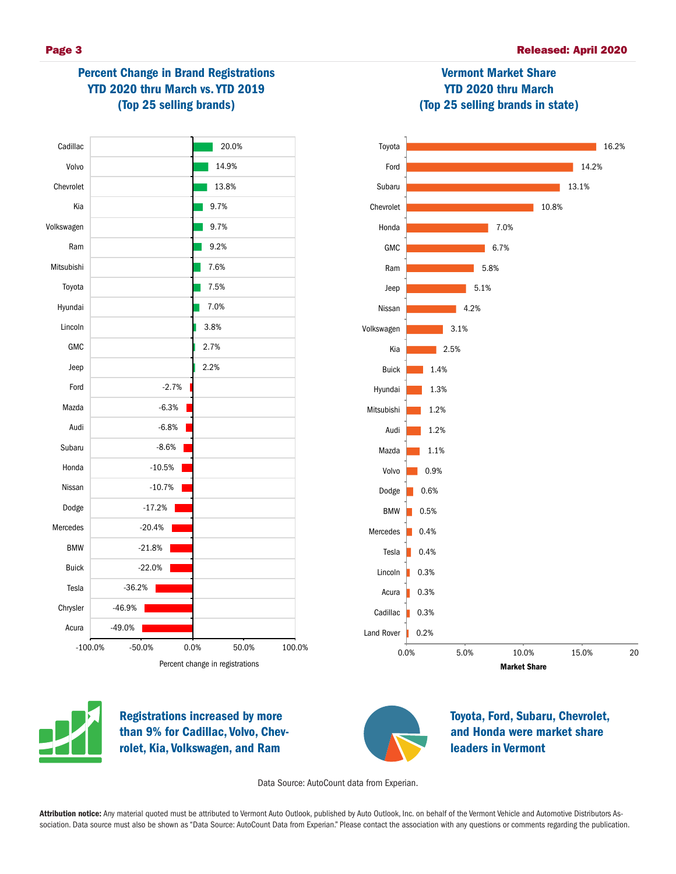

# Percent Change in Brand Registrations YTD 2020 thru March vs. YTD 2019 (Top 25 selling brands)







Registrations increased by more than 9% for Cadillac, Volvo, Chevrolet, Kia, Volkswagen, and Ram



Toyota, Ford, Subaru, Chevrolet, and Honda were market share leaders in Vermont

Data Source: AutoCount data from Experian.

Attribution notice: Any material quoted must be attributed to Vermont Auto Outlook, published by Auto Outlook, Inc. on behalf of the Vermont Vehicle and Automotive Distributors Association. Data source must also be shown as "Data Source: AutoCount Data from Experian." Please contact the association with any questions or comments regarding the publication.

# Vermont Market Share YTD 2020 thru March (Top 25 selling brands in state)